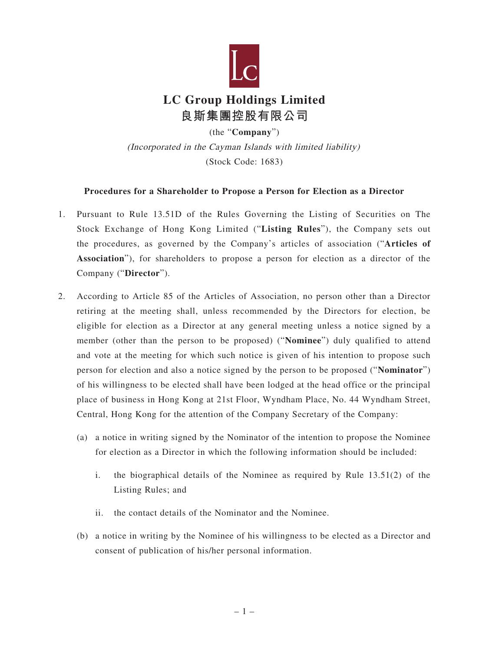

## **LC Group Holdings Limited 良斯集團控股有限公司**

(the "**Company**") (Incorporated in the Cayman Islands with limited liability) (Stock Code: 1683)

## **Procedures for a Shareholder to Propose a Person for Election as a Director**

- 1. Pursuant to Rule 13.51D of the Rules Governing the Listing of Securities on The Stock Exchange of Hong Kong Limited ("**Listing Rules**"), the Company sets out the procedures, as governed by the Company's articles of association ("**Articles of Association**"), for shareholders to propose a person for election as a director of the Company ("**Director**").
- 2. According to Article 85 of the Articles of Association, no person other than a Director retiring at the meeting shall, unless recommended by the Directors for election, be eligible for election as a Director at any general meeting unless a notice signed by a member (other than the person to be proposed) ("**Nominee**") duly qualified to attend and vote at the meeting for which such notice is given of his intention to propose such person for election and also a notice signed by the person to be proposed ("**Nominator**") of his willingness to be elected shall have been lodged at the head office or the principal place of business in Hong Kong at 21st Floor, Wyndham Place, No. 44 Wyndham Street, Central, Hong Kong for the attention of the Company Secretary of the Company:
	- (a) a notice in writing signed by the Nominator of the intention to propose the Nominee for election as a Director in which the following information should be included:
		- i. the biographical details of the Nominee as required by Rule 13.51(2) of the Listing Rules; and
		- ii. the contact details of the Nominator and the Nominee.
	- (b) a notice in writing by the Nominee of his willingness to be elected as a Director and consent of publication of his/her personal information.